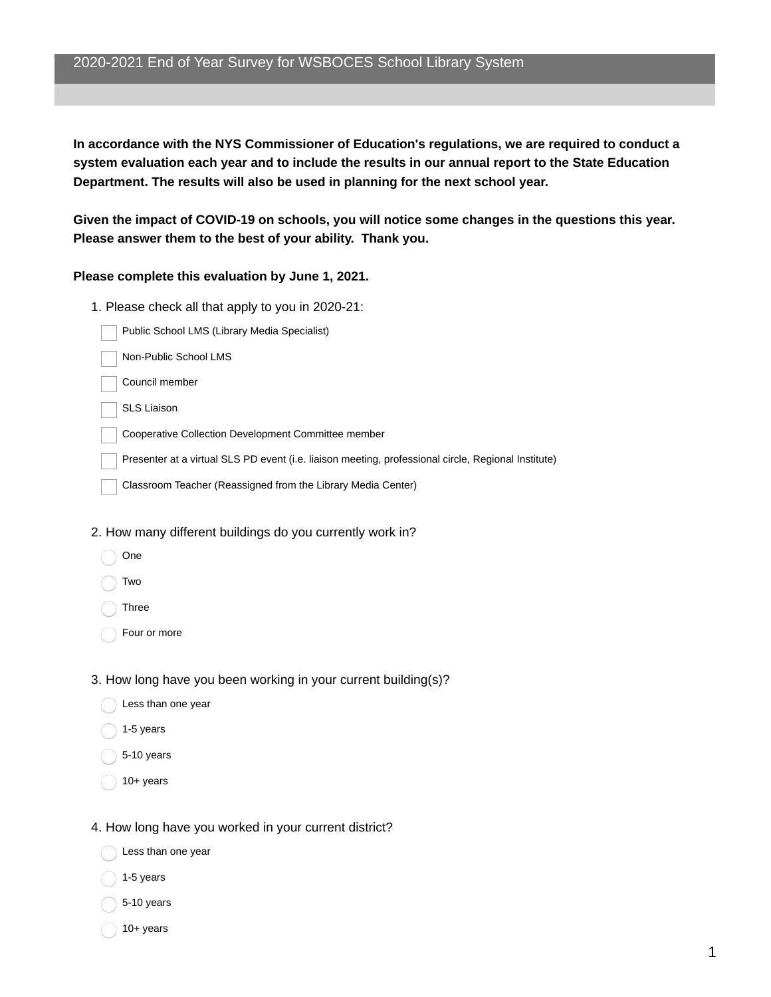**In accordance with the NYS Commissioner of Education's regulations, we are required to conduct a system evaluation each year and to include the results in our annual report to the State Education Department. The results will also be used in planning for the next school year.**

**Given the impact of COVID-19 on schools, you will notice some changes in the questions this year. Please answer them to the best of your ability. Thank you.**

### **Please complete this evaluation by June 1, 2021.**

- 1. Please check all that apply to you in 2020-21:
	- Public School LMS (Library Media Specialist)
	- Non-Public School LMS
	- Council member
	- SLS Liaison
	- Cooperative Collection Development Committee member
	- Presenter at a virtual SLS PD event (i.e. liaison meeting, professional circle, Regional Institute)
	- Classroom Teacher (Reassigned from the Library Media Center)

#### 2. How many different buildings do you currently work in?

- One
- Two
- Three
- Four or more

### 3. How long have you been working in your current building(s)?

- Less than one year
- 1-5 years
- 5-10 years
- 10+ years

#### 4. How long have you worked in your current district?

- Less than one year
- $1-5$  years
- 5-10 years
- 10+ years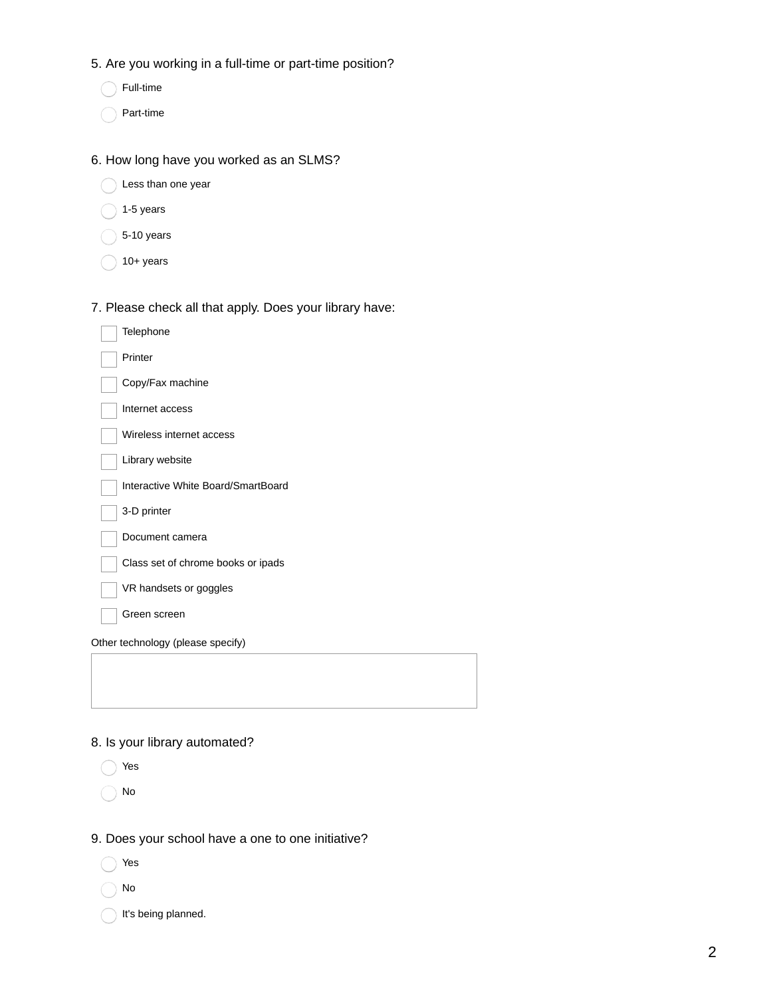- 5. Are you working in a full-time or part-time position?
	- Full-time
	- Part-time

### 6. How long have you worked as an SLMS?

- Less than one year
- $\bigcirc$  1-5 years
- $\bigcirc$  5-10 years
- $\bigcap$  10+ years

# 7. Please check all that apply. Does your library have:

| Telephone                          |
|------------------------------------|
| Printer                            |
| Copy/Fax machine                   |
| Internet access                    |
| Wireless internet access           |
| Library website                    |
| Interactive White Board/SmartBoard |
| 3-D printer                        |
| Document camera                    |
| Class set of chrome books or ipads |
| VR handsets or goggles             |
| Green screen                       |
| Other technology (please specify)  |
|                                    |
|                                    |

# 8. Is your library automated?

- Yes
- ◯ No
- 9. Does your school have a one to one initiative?
	- Yes
	- No
	- It's being planned.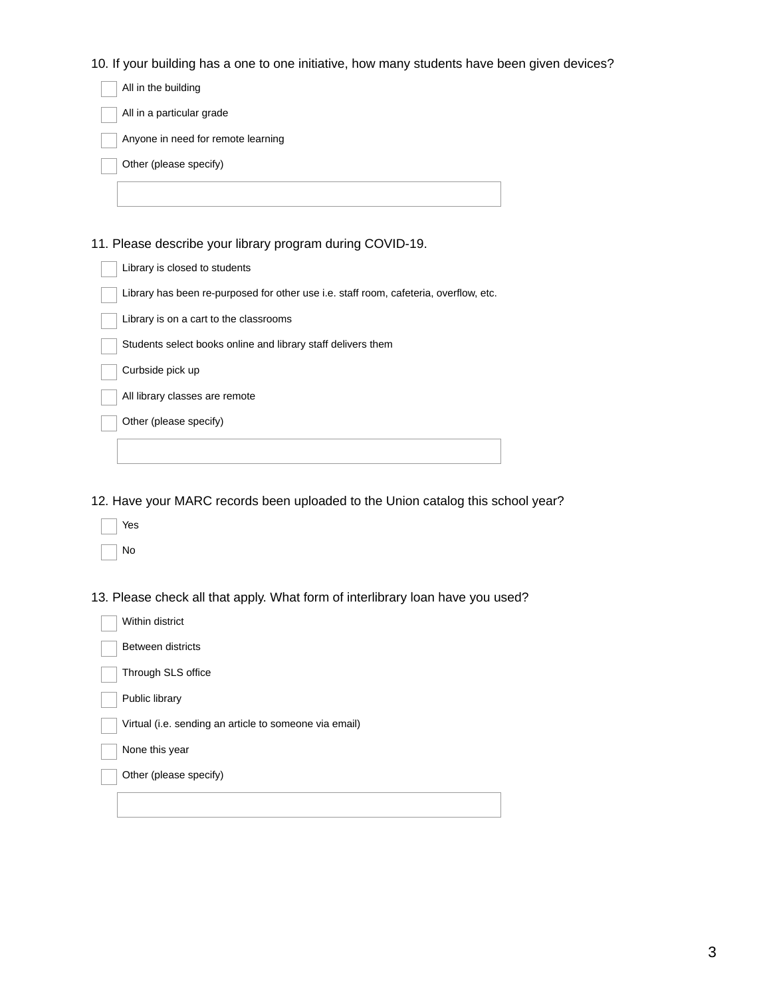10. If your building has a one to one initiative, how many students have been given devices?

| All in the building                |
|------------------------------------|
| All in a particular grade          |
| Anyone in need for remote learning |
| Other (please specify)             |
|                                    |
|                                    |

11. Please describe your library program during COVID-19.

12. Have your MARC records been uploaded to the Union catalog this school year?

| Yes |
|-----|
| N٥  |

13. Please check all that apply. What form of interlibrary loan have you used?

| Within district                                        |
|--------------------------------------------------------|
| <b>Between districts</b>                               |
| Through SLS office                                     |
| Public library                                         |
| Virtual (i.e. sending an article to someone via email) |
| None this year                                         |
| Other (please specify)                                 |
|                                                        |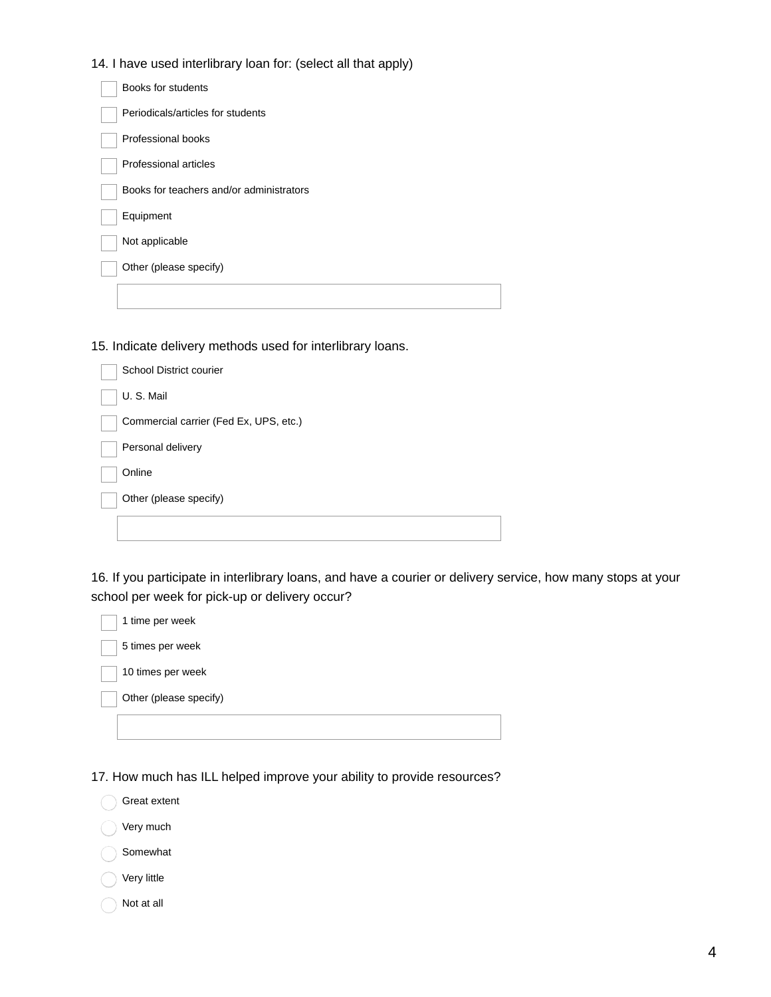14. I have used interlibrary loan for: (select all that apply)

| Books for students                       |
|------------------------------------------|
| Periodicals/articles for students        |
| Professional books                       |
| Professional articles                    |
| Books for teachers and/or administrators |
| Equipment                                |
| Not applicable                           |
| Other (please specify)                   |
|                                          |

15. Indicate delivery methods used for interlibrary loans.

| School District courier                |
|----------------------------------------|
| U.S.Mail                               |
| Commercial carrier (Fed Ex, UPS, etc.) |
| Personal delivery                      |
| Online                                 |
| Other (please specify)                 |
|                                        |

16. If you participate in interlibrary loans, and have a courier or delivery service, how many stops at your school per week for pick-up or delivery occur?

| 1 time per week        |
|------------------------|
| 5 times per week       |
| 10 times per week      |
| Other (please specify) |
|                        |

17. How much has ILL helped improve your ability to provide resources?



Very much

Somewhat

Very little

Not at all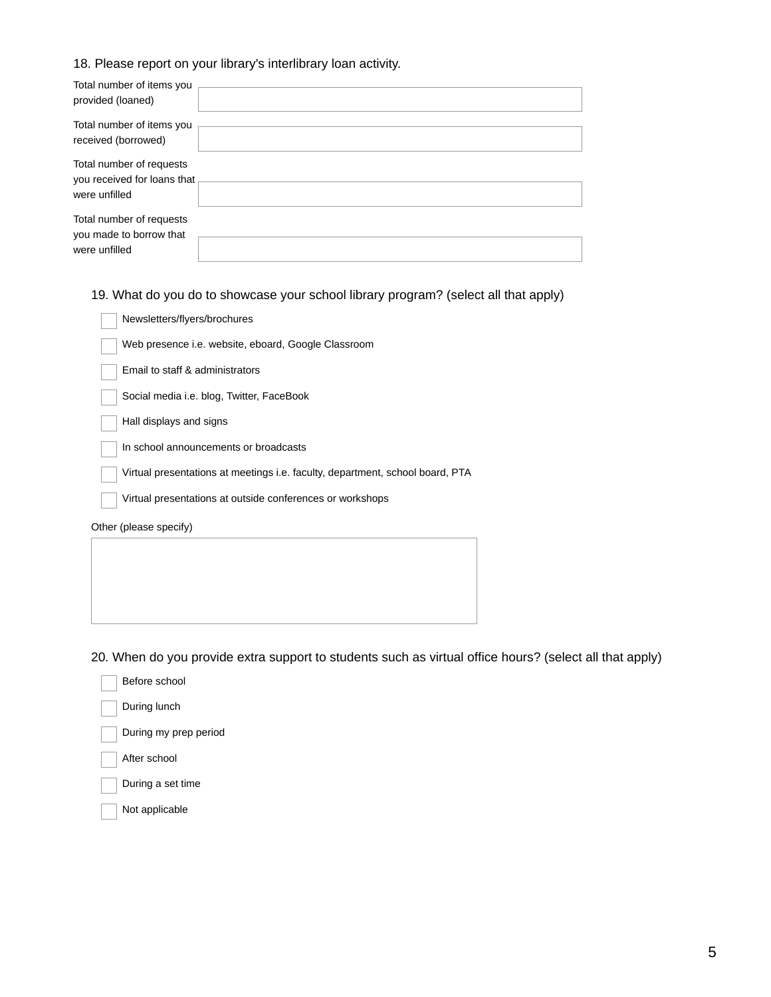### 18. Please report on your library's interlibrary loan activity.

| Total number of items you<br>provided (loaned)          |  |
|---------------------------------------------------------|--|
| Total number of items you<br>received (borrowed)        |  |
| Total number of requests<br>you received for loans that |  |
| were unfilled                                           |  |
| Total number of requests                                |  |
| you made to borrow that<br>were unfilled                |  |

19. What do you do to showcase your school library program? (select all that apply)

| Newsletters/flyers/brochures                                                  |
|-------------------------------------------------------------------------------|
| Web presence i.e. website, eboard, Google Classroom                           |
| Email to staff & administrators                                               |
| Social media i.e. blog, Twitter, FaceBook                                     |
| Hall displays and signs                                                       |
| In school announcements or broadcasts                                         |
| Virtual presentations at meetings i.e. faculty, department, school board, PTA |
| Virtual presentations at outside conferences or workshops                     |
| Other (please specify)                                                        |
|                                                                               |
|                                                                               |

20. When do you provide extra support to students such as virtual office hours? (select all that apply)

- Before school
- During lunch
- During my prep period
- After school

During a set time

Not applicable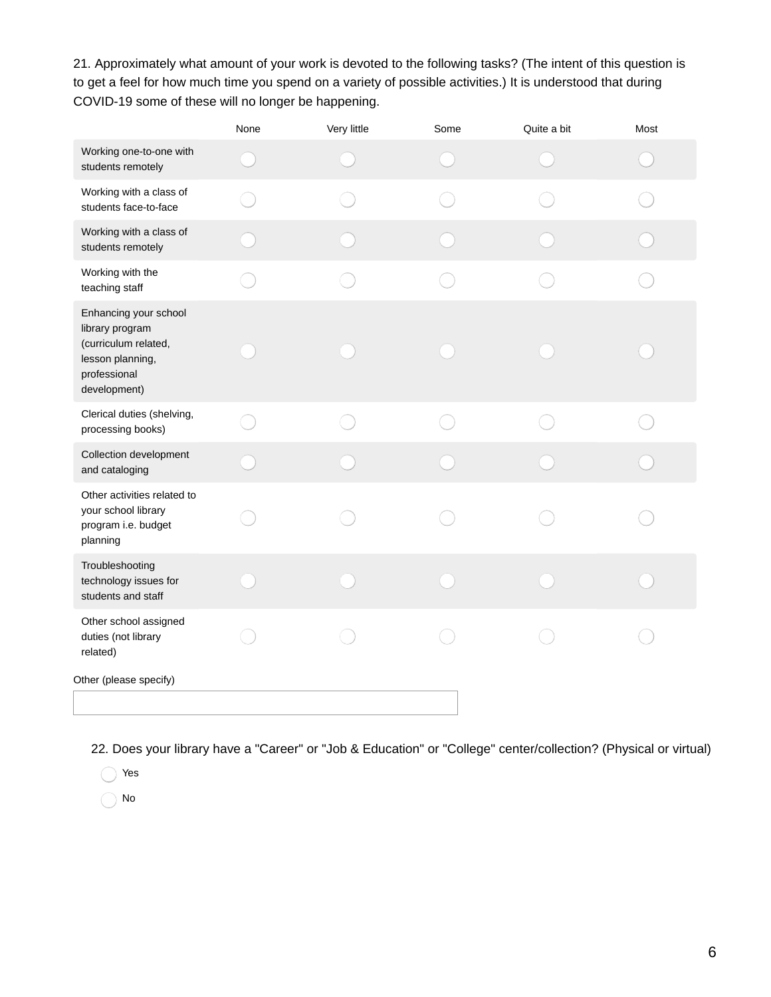21. Approximately what amount of your work is devoted to the following tasks? (The intent of this question is to get a feel for how much time you spend on a variety of possible activities.) It is understood that during COVID-19 some of these will no longer be happening.

|                                                                                                                      | None | Very little | Some | Quite a bit | Most |
|----------------------------------------------------------------------------------------------------------------------|------|-------------|------|-------------|------|
| Working one-to-one with<br>students remotely                                                                         |      |             |      |             |      |
| Working with a class of<br>students face-to-face                                                                     |      |             |      |             |      |
| Working with a class of<br>students remotely                                                                         |      |             |      |             |      |
| Working with the<br>teaching staff                                                                                   |      |             |      |             |      |
| Enhancing your school<br>library program<br>(curriculum related,<br>lesson planning,<br>professional<br>development) |      |             |      |             |      |
| Clerical duties (shelving,<br>processing books)                                                                      |      |             |      |             |      |
| Collection development<br>and cataloging                                                                             |      |             |      |             |      |
| Other activities related to<br>your school library<br>program i.e. budget<br>planning                                |      |             |      |             |      |
| Troubleshooting<br>technology issues for<br>students and staff                                                       |      |             |      |             |      |
| Other school assigned<br>duties (not library<br>related)                                                             |      |             |      |             |      |
| Other (please specify)                                                                                               |      |             |      |             |      |

22. Does your library have a "Career" or "Job & Education" or "College" center/collection? (Physical or virtual)

Yes

No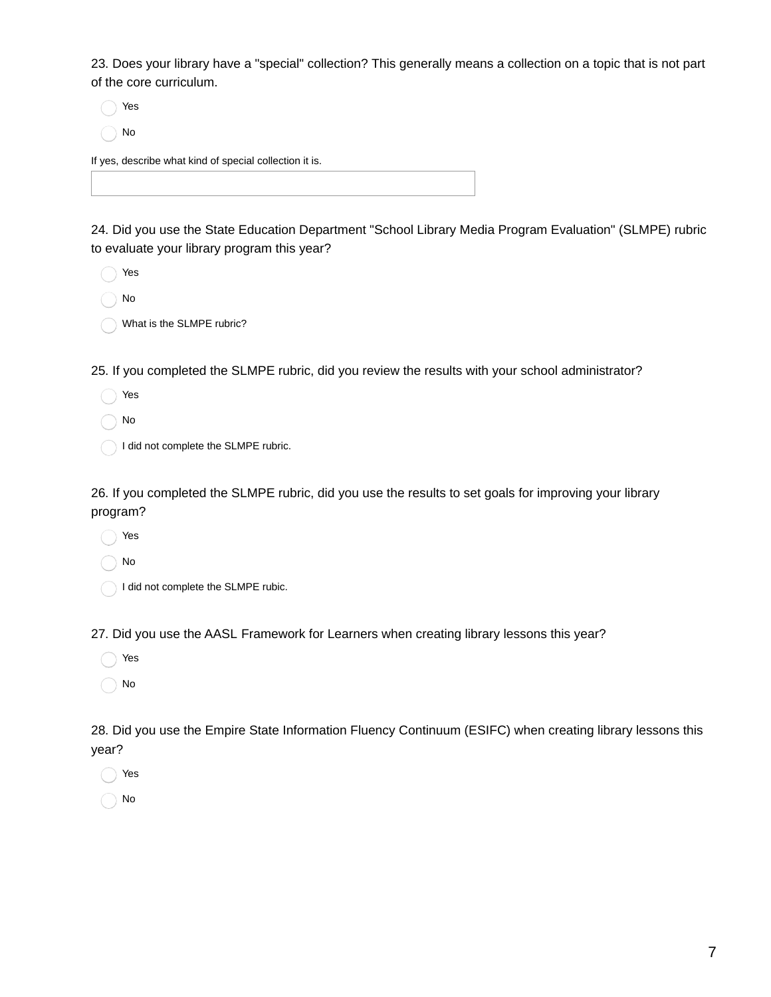23. Does your library have a "special" collection? This generally means a collection on a topic that is not part of the core curriculum.

Yes No

If yes, describe what kind of special collection it is.

24. Did you use the State Education Department "School Library Media Program Evaluation" (SLMPE) rubric to evaluate your library program this year?

- Yes
- No
	- What is the SLMPE rubric?

25. If you completed the SLMPE rubric, did you review the results with your school administrator?

- Yes
- No

I did not complete the SLMPE rubric.

26. If you completed the SLMPE rubric, did you use the results to set goals for improving your library program?

- Yes
- No
- I did not complete the SLMPE rubic.

27. Did you use the AASL Framework for Learners when creating library lessons this year?

- Yes
- No

28. Did you use the Empire State Information Fluency Continuum (ESIFC) when creating library lessons this year?

- Yes
- No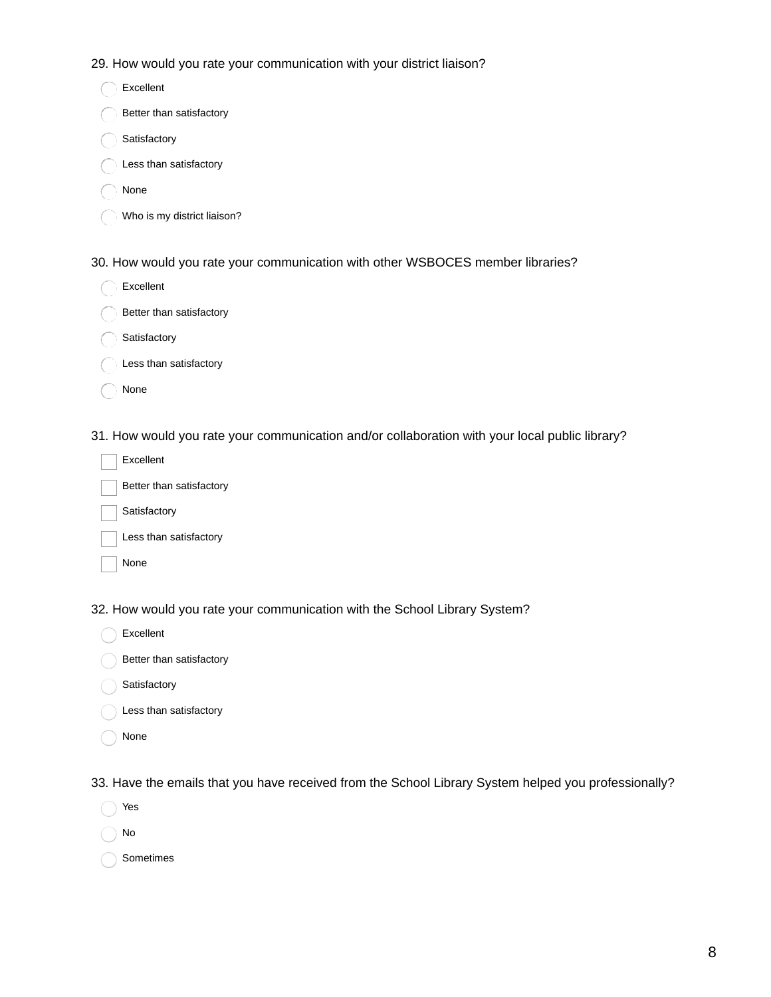29. How would you rate your communication with your district liaison?

| Excellent                   |
|-----------------------------|
| Better than satisfactory    |
| Satisfactory                |
| Less than satisfactory      |
| None                        |
| Who is my district liaison? |
|                             |

30. How would you rate your communication with other WSBOCES member libraries?

| Excellent                |  |  |
|--------------------------|--|--|
| Better than satisfactory |  |  |
| Satisfactory             |  |  |
|                          |  |  |

C Less than satisfactory

None

31. How would you rate your communication and/or collaboration with your local public library?

| Excellent                |
|--------------------------|
| Better than satisfactory |
| Satisfactory             |
|                          |

Less than satisfactory

None

32. How would you rate your communication with the School Library System?

Excellent

Better than satisfactory

Satisfactory

Less than satisfactory

None

33. Have the emails that you have received from the School Library System helped you professionally?

- Yes
- No

Sometimes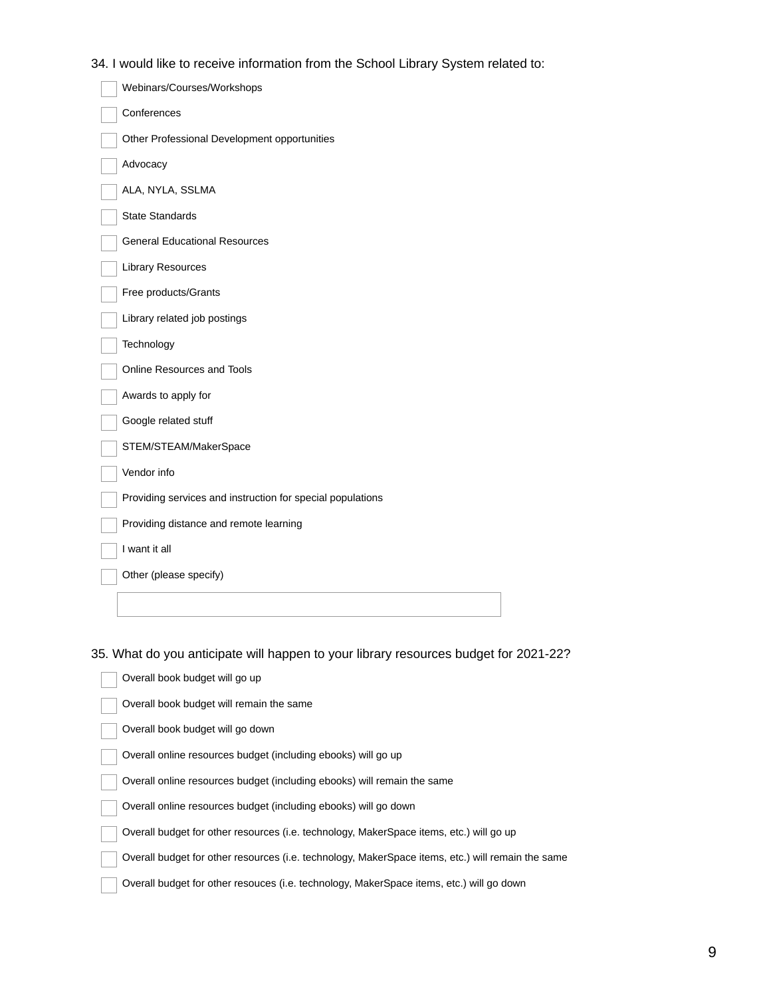34. I would like to receive information from the School Library System related to:

| Webinars/Courses/Workshops                                 |
|------------------------------------------------------------|
| Conferences                                                |
| Other Professional Development opportunities               |
| Advocacy                                                   |
| ALA, NYLA, SSLMA                                           |
| <b>State Standards</b>                                     |
| <b>General Educational Resources</b>                       |
| <b>Library Resources</b>                                   |
| Free products/Grants                                       |
| Library related job postings                               |
| Technology                                                 |
| Online Resources and Tools                                 |
| Awards to apply for                                        |
| Google related stuff                                       |
| STEM/STEAM/MakerSpace                                      |
| Vendor info                                                |
| Providing services and instruction for special populations |
| Providing distance and remote learning                     |
| I want it all                                              |
| Other (please specify)                                     |
|                                                            |

35. What do you anticipate will happen to your library resources budget for 2021-22?

| Overall book budget will go up                                                                    |
|---------------------------------------------------------------------------------------------------|
| Overall book budget will remain the same                                                          |
| Overall book budget will go down                                                                  |
| Overall online resources budget (including ebooks) will go up                                     |
| Overall online resources budget (including ebooks) will remain the same                           |
| Overall online resources budget (including ebooks) will go down                                   |
| Overall budget for other resources (i.e. technology, MakerSpace items, etc.) will go up           |
| Overall budget for other resources (i.e. technology, MakerSpace items, etc.) will remain the same |
| Overall budget for other resouces (i.e. technology, MakerSpace items, etc.) will go down          |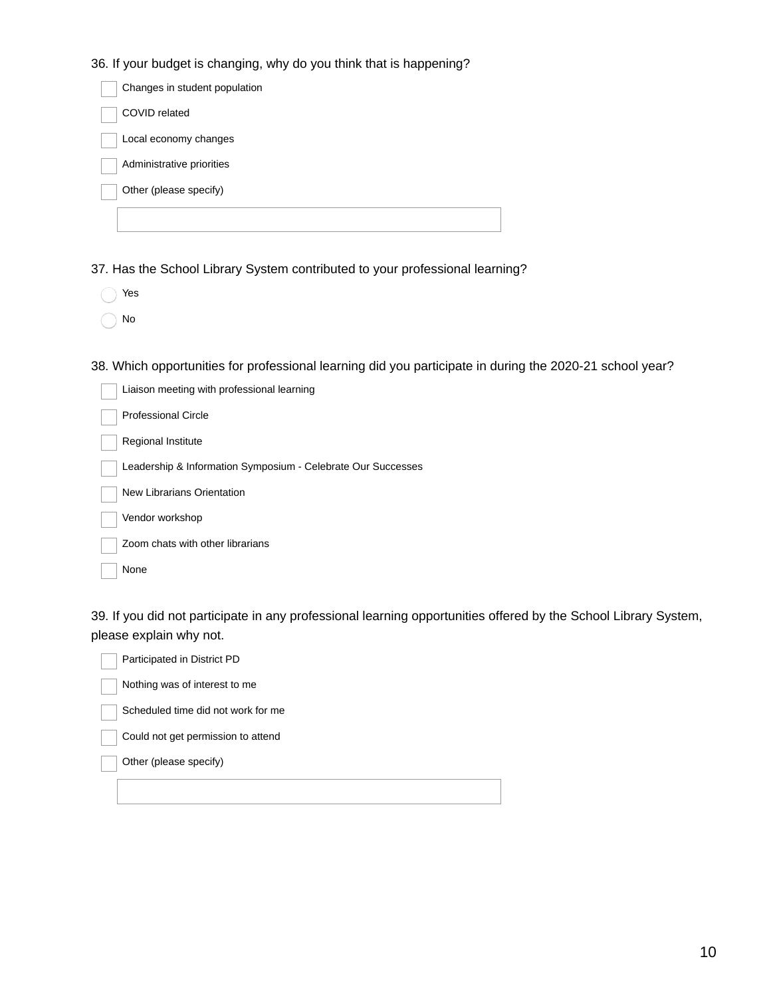36. If your budget is changing, why do you think that is happening?

| Changes in student population |  |
|-------------------------------|--|
| COVID related                 |  |
| Local economy changes         |  |
| Administrative priorities     |  |
| Other (please specify)        |  |
|                               |  |

37. Has the School Library System contributed to your professional learning?

| ۷ρ<br>c<br>۰. |
|---------------|
|               |

No

38. Which opportunities for professional learning did you participate in during the 2020-21 school year?

| Liaison meeting with professional learning                   |
|--------------------------------------------------------------|
| Professional Circle                                          |
| Regional Institute                                           |
| Leadership & Information Symposium - Celebrate Our Successes |
| New Librarians Orientation                                   |
| Vendor workshop                                              |
| Zoom chats with other librarians                             |
| None                                                         |

39. If you did not participate in any professional learning opportunities offered by the School Library System, please explain why not.

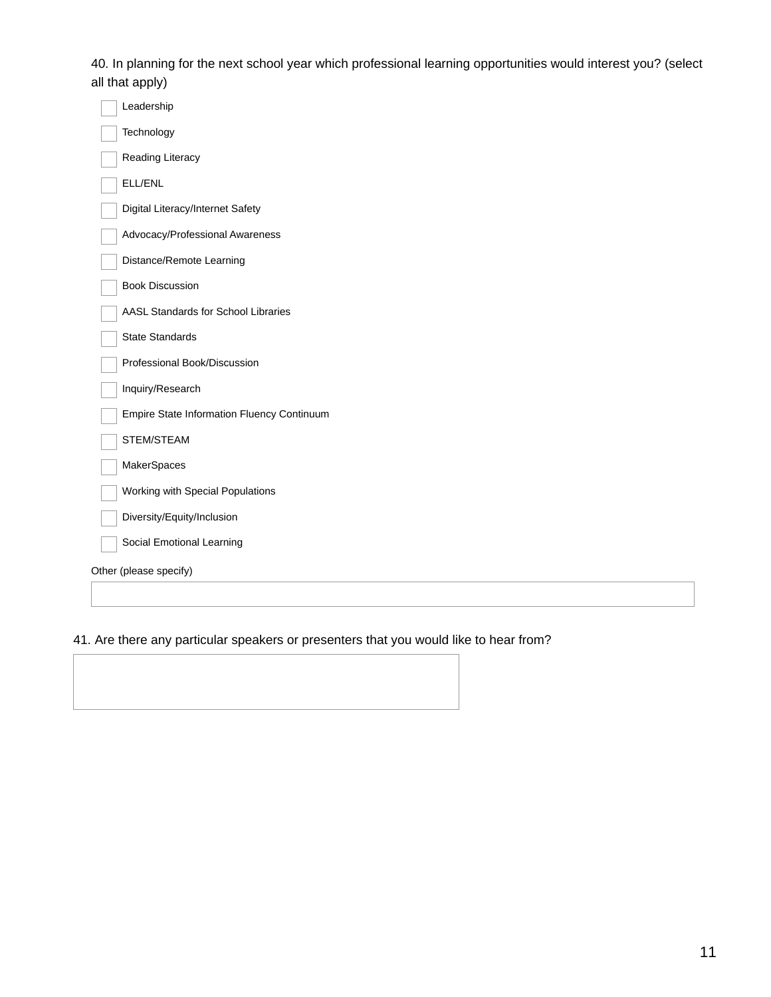40. In planning for the next school year which professional learning opportunities would interest you? (select all that apply)

| Leadership                                 |
|--------------------------------------------|
| Technology                                 |
| Reading Literacy                           |
| ELL/ENL                                    |
| Digital Literacy/Internet Safety           |
| Advocacy/Professional Awareness            |
| Distance/Remote Learning                   |
| <b>Book Discussion</b>                     |
| AASL Standards for School Libraries        |
| <b>State Standards</b>                     |
| Professional Book/Discussion               |
| Inquiry/Research                           |
| Empire State Information Fluency Continuum |
| STEM/STEAM                                 |
| MakerSpaces                                |
| Working with Special Populations           |
| Diversity/Equity/Inclusion                 |
| Social Emotional Learning                  |
| Other (please specify)                     |
|                                            |
|                                            |

# 41. Are there any particular speakers or presenters that you would like to hear from?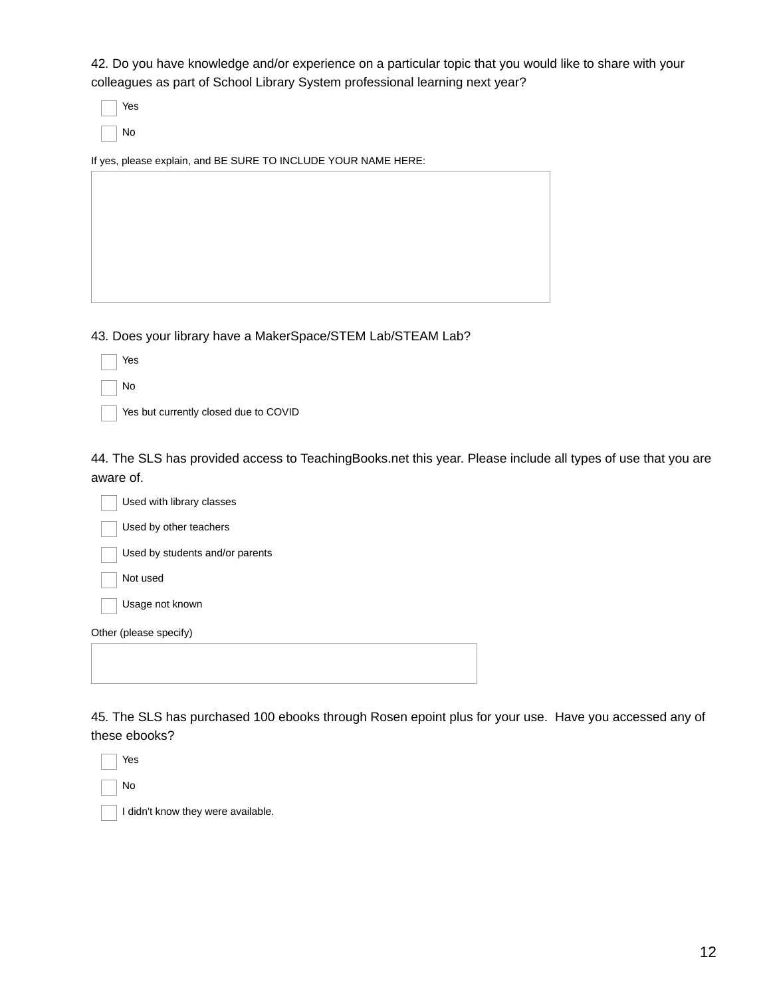42. Do you have knowledge and/or experience on a particular topic that you would like to share with your colleagues as part of School Library System professional learning next year?

Yes No

If yes, please explain, and BE SURE TO INCLUDE YOUR NAME HERE:

43. Does your library have a MakerSpace/STEM Lab/STEAM Lab?

| Yes |
|-----|
| No  |

Yes but currently closed due to COVID

44. The SLS has provided access to TeachingBooks.net this year. Please include all types of use that you are aware of.



45. The SLS has purchased 100 ebooks through Rosen epoint plus for your use. Have you accessed any of these ebooks?

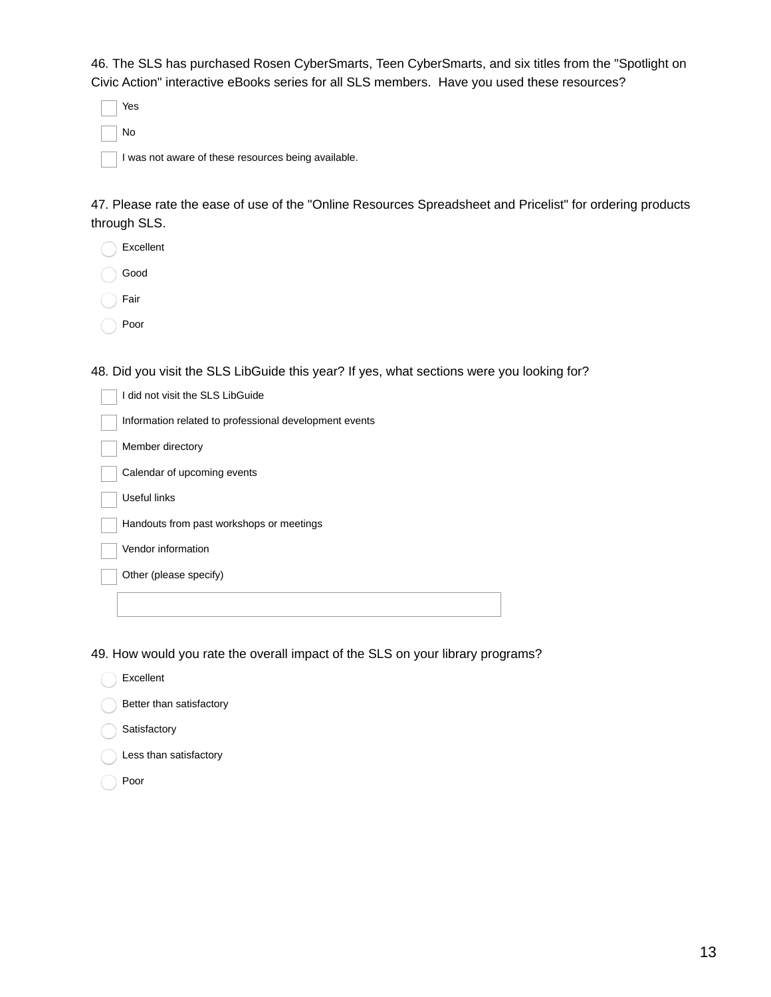46. The SLS has purchased Rosen CyberSmarts, Teen CyberSmarts, and six titles from the "Spotlight on Civic Action" interactive eBooks series for all SLS members. Have you used these resources?

Yes No

I was not aware of these resources being available.

47. Please rate the ease of use of the "Online Resources Spreadsheet and Pricelist" for ordering products through SLS.

| Excellent |
|-----------|
|           |

Good

Fair

Poor

48. Did you visit the SLS LibGuide this year? If yes, what sections were you looking for?

| I did not visit the SLS LibGuide                       |
|--------------------------------------------------------|
| Information related to professional development events |
| Member directory                                       |
| Calendar of upcoming events                            |
| Useful links                                           |
| Handouts from past workshops or meetings               |
| Vendor information                                     |
| Other (please specify)                                 |
|                                                        |

49. How would you rate the overall impact of the SLS on your library programs?

Excellent

Better than satisfactory

- Satisfactory
- Less than satisfactory
- Poor